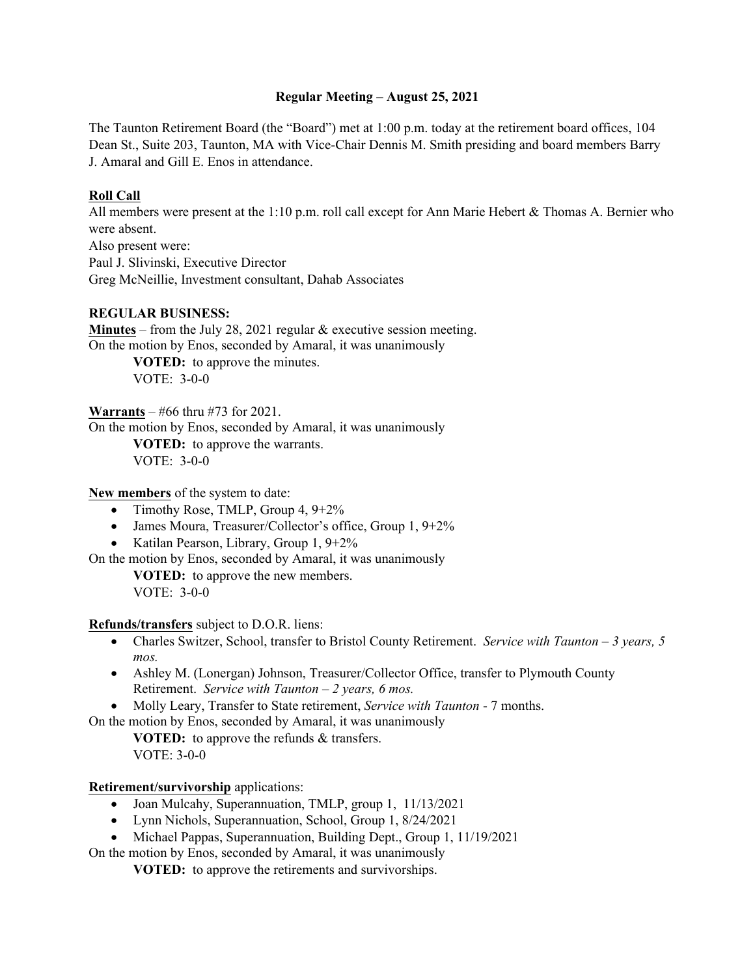## **Regular Meeting – August 25, 2021**

The Taunton Retirement Board (the "Board") met at 1:00 p.m. today at the retirement board offices, 104 Dean St., Suite 203, Taunton, MA with Vice-Chair Dennis M. Smith presiding and board members Barry J. Amaral and Gill E. Enos in attendance.

# **Roll Call**

All members were present at the 1:10 p.m. roll call except for Ann Marie Hebert & Thomas A. Bernier who were absent.

Also present were: Paul J. Slivinski, Executive Director Greg McNeillie, Investment consultant, Dahab Associates

## **REGULAR BUSINESS:**

**Minutes** – from the July 28, 2021 regular  $\&$  executive session meeting. On the motion by Enos, seconded by Amaral, it was unanimously

**VOTED:** to approve the minutes. VOTE: 3-0-0

**Warrants** – #66 thru #73 for 2021.

On the motion by Enos, seconded by Amaral, it was unanimously **VOTED:** to approve the warrants.

VOTE: 3-0-0

**New members** of the system to date:

- Timothy Rose, TMLP, Group  $4, 9+2\%$
- James Moura, Treasurer/Collector's office, Group 1, 9+2%
- Katilan Pearson, Library, Group 1,  $9+2\%$

On the motion by Enos, seconded by Amaral, it was unanimously

**VOTED:** to approve the new members. VOTE: 3-0-0

**Refunds/transfers** subject to D.O.R. liens:

- Charles Switzer, School, transfer to Bristol County Retirement. *Service with Taunton 3 years, 5 mos.*
- Ashley M. (Lonergan) Johnson, Treasurer/Collector Office, transfer to Plymouth County Retirement. *Service with Taunton – 2 years, 6 mos.*
- Molly Leary, Transfer to State retirement, *Service with Taunton*  7 months.

On the motion by Enos, seconded by Amaral, it was unanimously

**VOTED:** to approve the refunds & transfers. VOTE: 3-0-0

### **Retirement/survivorship** applications:

- Joan Mulcahy, Superannuation, TMLP, group 1, 11/13/2021
- Lynn Nichols, Superannuation, School, Group 1, 8/24/2021
- Michael Pappas, Superannuation, Building Dept., Group 1, 11/19/2021

On the motion by Enos, seconded by Amaral, it was unanimously

**VOTED:** to approve the retirements and survivorships.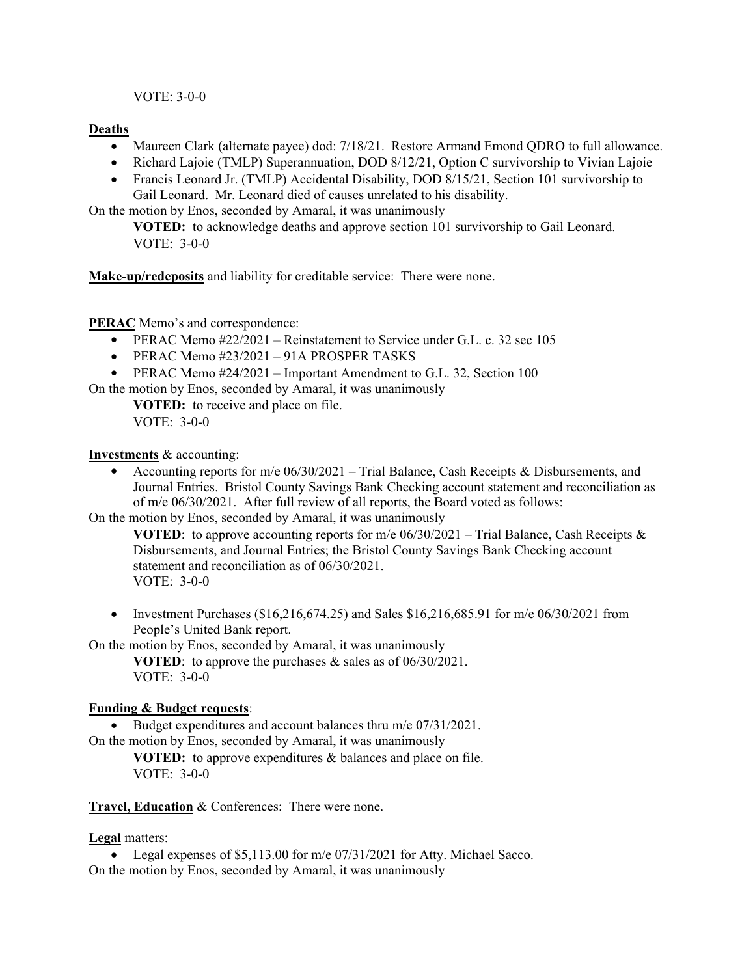VOTE: 3-0-0

# **Deaths**

- Maureen Clark (alternate payee) dod: 7/18/21. Restore Armand Emond QDRO to full allowance.
- Richard Lajoie (TMLP) Superannuation, DOD 8/12/21, Option C survivorship to Vivian Lajoie
- Francis Leonard Jr. (TMLP) Accidental Disability, DOD 8/15/21, Section 101 survivorship to Gail Leonard. Mr. Leonard died of causes unrelated to his disability.

On the motion by Enos, seconded by Amaral, it was unanimously

**VOTED:** to acknowledge deaths and approve section 101 survivorship to Gail Leonard. VOTE: 3-0-0

**Make-up/redeposits** and liability for creditable service: There were none.

**PERAC** Memo's and correspondence:

- PERAC Memo  $\text{\#22/2021}$  Reinstatement to Service under G.L. c. 32 sec 105
- $\bullet$  PERAC Memo #23/2021 91A PROSPER TASKS
- PERAC Memo #24/2021 Important Amendment to G.L. 32, Section 100

On the motion by Enos, seconded by Amaral, it was unanimously

**VOTED:** to receive and place on file. VOTE: 3-0-0

**Investments** & accounting:

Accounting reports for m/e  $06/30/2021$  – Trial Balance, Cash Receipts & Disbursements, and Journal Entries. Bristol County Savings Bank Checking account statement and reconciliation as of m/e 06/30/2021. After full review of all reports, the Board voted as follows:

On the motion by Enos, seconded by Amaral, it was unanimously

**VOTED:** to approve accounting reports for m/e  $06/30/2021 -$ Trial Balance, Cash Receipts & Disbursements, and Journal Entries; the Bristol County Savings Bank Checking account statement and reconciliation as of 06/30/2021. VOTE: 3-0-0

• Investment Purchases (\$16,216,674.25) and Sales \$16,216,685.91 for m/e  $06/30/2021$  from People's United Bank report.

On the motion by Enos, seconded by Amaral, it was unanimously

**VOTED**: to approve the purchases & sales as of 06/30/2021. VOTE: 3-0-0

# **Funding & Budget requests**:

Budget expenditures and account balances thru  $m/e$  07/31/2021.

On the motion by Enos, seconded by Amaral, it was unanimously

**VOTED:** to approve expenditures & balances and place on file. VOTE: 3-0-0

**Travel, Education** & Conferences: There were none.

**Legal** matters:

• Legal expenses of \$5,113.00 for m/e 07/31/2021 for Atty. Michael Sacco. On the motion by Enos, seconded by Amaral, it was unanimously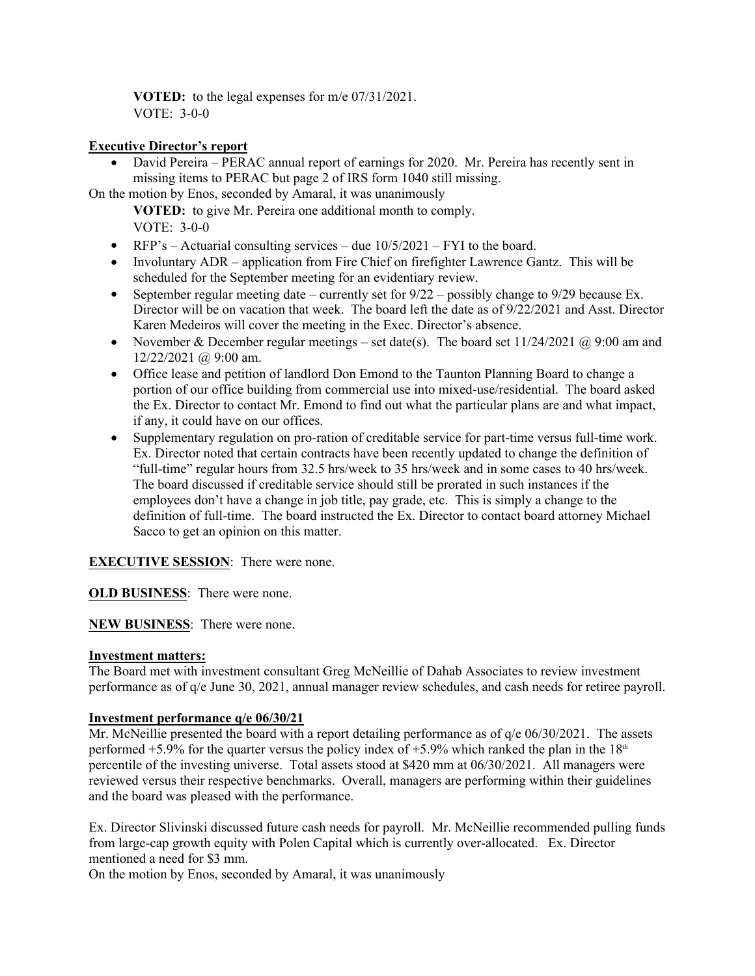**VOTED:** to the legal expenses for m/e 07/31/2021. VOTE: 3-0-0

## **Executive Director's report**

 David Pereira – PERAC annual report of earnings for 2020. Mr. Pereira has recently sent in missing items to PERAC but page 2 of IRS form 1040 still missing.

On the motion by Enos, seconded by Amaral, it was unanimously **VOTED:** to give Mr. Pereira one additional month to comply. VOTE: 3-0-0

- RFP's Actuarial consulting services due  $10/5/2021$  FYI to the board.
- Involuntary ADR application from Fire Chief on firefighter Lawrence Gantz. This will be scheduled for the September meeting for an evidentiary review.
- September regular meeting date currently set for  $9/22$  possibly change to  $9/29$  because Ex. Director will be on vacation that week. The board left the date as of 9/22/2021 and Asst. Director Karen Medeiros will cover the meeting in the Exec. Director's absence.
- November & December regular meetings set date(s). The board set  $11/24/2021$  @ 9:00 am and  $12/22/2021$  @ 9:00 am.
- Office lease and petition of landlord Don Emond to the Taunton Planning Board to change a portion of our office building from commercial use into mixed-use/residential. The board asked the Ex. Director to contact Mr. Emond to find out what the particular plans are and what impact, if any, it could have on our offices.
- Supplementary regulation on pro-ration of creditable service for part-time versus full-time work. Ex. Director noted that certain contracts have been recently updated to change the definition of "full-time" regular hours from 32.5 hrs/week to 35 hrs/week and in some cases to 40 hrs/week. The board discussed if creditable service should still be prorated in such instances if the employees don't have a change in job title, pay grade, etc. This is simply a change to the definition of full-time. The board instructed the Ex. Director to contact board attorney Michael Sacco to get an opinion on this matter.

# **EXECUTIVE SESSION:** There were none.

**OLD BUSINESS**: There were none.

### **NEW BUSINESS**: There were none.

### **Investment matters:**

The Board met with investment consultant Greg McNeillie of Dahab Associates to review investment performance as of q/e June 30, 2021, annual manager review schedules, and cash needs for retiree payroll.

### **Investment performance q/e 06/30/21**

Mr. McNeillie presented the board with a report detailing performance as of  $q/e$  06/30/2021. The assets performed +5.9% for the quarter versus the policy index of +5.9% which ranked the plan in the  $18<sup>th</sup>$ percentile of the investing universe. Total assets stood at \$420 mm at 06/30/2021. All managers were reviewed versus their respective benchmarks. Overall, managers are performing within their guidelines and the board was pleased with the performance.

Ex. Director Slivinski discussed future cash needs for payroll. Mr. McNeillie recommended pulling funds from large-cap growth equity with Polen Capital which is currently over-allocated. Ex. Director mentioned a need for \$3 mm.

On the motion by Enos, seconded by Amaral, it was unanimously